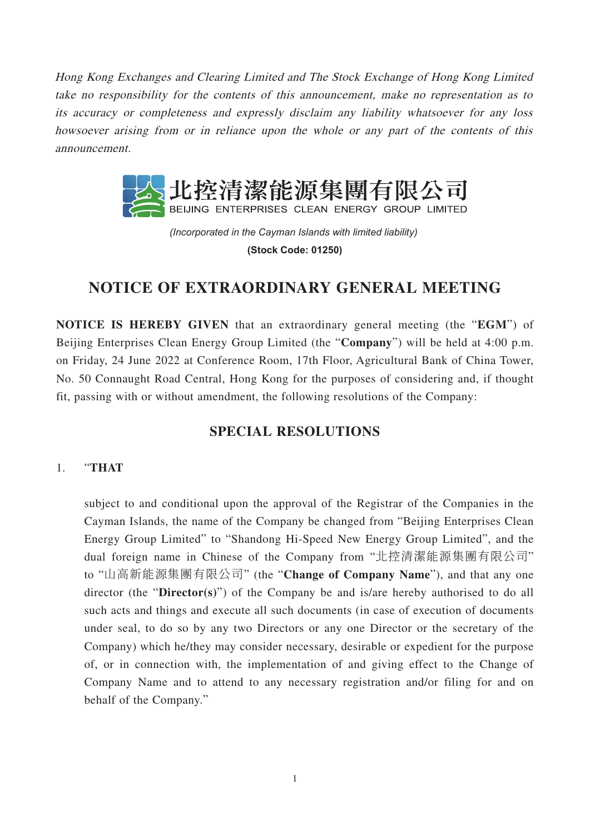Hong Kong Exchanges and Clearing Limited and The Stock Exchange of Hong Kong Limited take no responsibility for the contents of this announcement, make no representation as to its accuracy or completeness and expressly disclaim any liability whatsoever for any loss howsoever arising from or in reliance upon the whole or any part of the contents of this announcement.



*(Incorporated in the Cayman Islands with limited liability)*  **(Stock Code: 01250)**

# **NOTICE OF EXTRAORDINARY GENERAL MEETING**

**NOTICE IS HEREBY GIVEN** that an extraordinary general meeting (the "**EGM**") of Beijing Enterprises Clean Energy Group Limited (the "**Company**") will be held at 4:00 p.m. on Friday, 24 June 2022 at Conference Room, 17th Floor, Agricultural Bank of China Tower, No. 50 Connaught Road Central, Hong Kong for the purposes of considering and, if thought fit, passing with or without amendment, the following resolutions of the Company:

## **SPECIAL RESOLUTIONS**

### 1. "**THAT**

subject to and conditional upon the approval of the Registrar of the Companies in the Cayman Islands, the name of the Company be changed from "Beijing Enterprises Clean Energy Group Limited" to "Shandong Hi-Speed New Energy Group Limited", and the dual foreign name in Chinese of the Company from "北控清潔能源集團有限公司" to "山高新能源集團有限公司" (the "**Change of Company Name**"), and that any one director (the "**Director(s)**") of the Company be and is/are hereby authorised to do all such acts and things and execute all such documents (in case of execution of documents under seal, to do so by any two Directors or any one Director or the secretary of the Company) which he/they may consider necessary, desirable or expedient for the purpose of, or in connection with, the implementation of and giving effect to the Change of Company Name and to attend to any necessary registration and/or filing for and on behalf of the Company."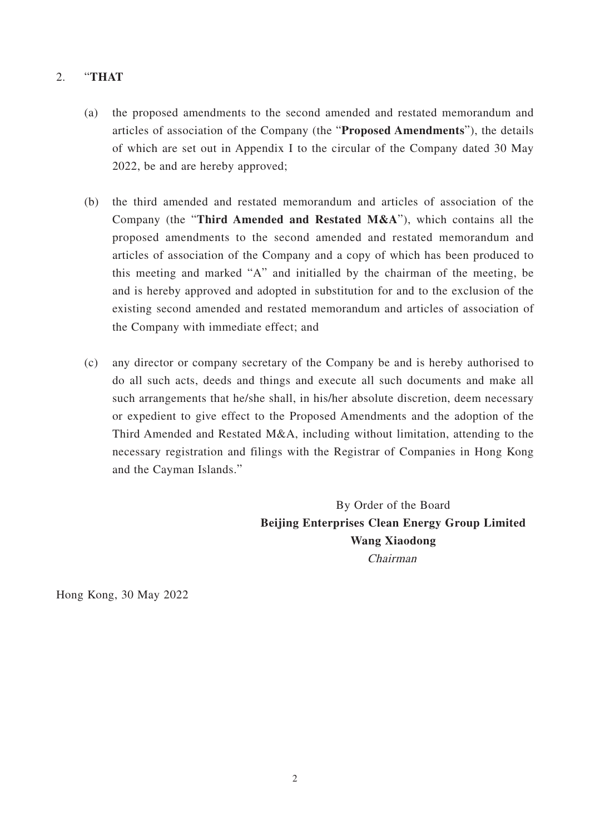### 2. "**THAT**

- (a) the proposed amendments to the second amended and restated memorandum and articles of association of the Company (the "**Proposed Amendments**"), the details of which are set out in Appendix I to the circular of the Company dated 30 May 2022, be and are hereby approved;
- (b) the third amended and restated memorandum and articles of association of the Company (the "**Third Amended and Restated M&A**"), which contains all the proposed amendments to the second amended and restated memorandum and articles of association of the Company and a copy of which has been produced to this meeting and marked "A" and initialled by the chairman of the meeting, be and is hereby approved and adopted in substitution for and to the exclusion of the existing second amended and restated memorandum and articles of association of the Company with immediate effect; and
- (c) any director or company secretary of the Company be and is hereby authorised to do all such acts, deeds and things and execute all such documents and make all such arrangements that he/she shall, in his/her absolute discretion, deem necessary or expedient to give effect to the Proposed Amendments and the adoption of the Third Amended and Restated M&A, including without limitation, attending to the necessary registration and filings with the Registrar of Companies in Hong Kong and the Cayman Islands."

By Order of the Board **Beijing Enterprises Clean Energy Group Limited Wang Xiaodong** Chairman

Hong Kong, 30 May 2022